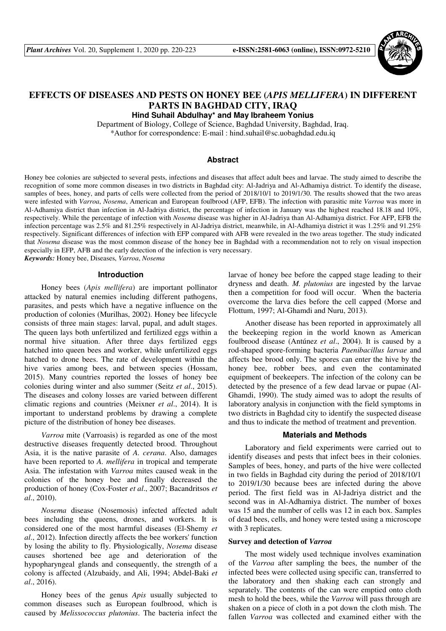

# **EFFECTS OF DISEASES AND PESTS ON HONEY BEE (***APIS MELLIFERA***) IN DIFFERENT PARTS IN BAGHDAD CITY, IRAQ**

**Hind Suhail Abdulhay\* and May Ibraheem Yonius**

Department of Biology, College of Science, Baghdad University, Baghdad, Iraq. \*Author for correspondence: E-mail : hind.suhail@sc.uobaghdad.edu.iq

## **Abstract**

Honey bee colonies are subjected to several pests, infections and diseases that affect adult bees and larvae. The study aimed to describe the recognition of some more common diseases in two districts in Baghdad city: Al-Jadriya and Al-Adhamiya district. To identify the disease, samples of bees, honey, and parts of cells were collected from the period of 2018/10/1 to 2019/1/30. The results showed that the two areas were infested with *Varroa*, *Nosema*, American and European foulbrood (AFP, EFB). The infection with parasitic mite *Varroa* was more in Al-Adhamiya district than infection in Al-Jadriya district, the percentage of infection in January was the highest reached 18.18 and 10%, respectively. While the percentage of infection with *Nosema* disease was higher in Al-Jadriya than Al-Adhamiya district. For AFP, EFB the infection percentage was 2.5% and 81.25% respectively in Al-Jadriya district, meanwhile, in Al-Adhamiya district it was 1.25% and 91.25% respectively. Significant differences of infection with EFP compared with AFB were revealed in the two areas together. The study indicated that *Nosema* disease was the most common disease of the honey bee in Baghdad with a recommendation not to rely on visual inspection especially in EFP, AFB and the early detection of the infection is very necessary.

*Keywords:* Honey bee, Diseases, *Varroa*, *Nosema*

## **Introduction**

Honey bees (*Apis mellifera*) are important pollinator attacked by natural enemies including different pathogens, parasites, and pests which have a negative influence on the production of colonies (Murilhas, 2002). Honey bee lifecycle consists of three main stages: larval, pupal, and adult stages. The queen lays both unfertilized and fertilized eggs within a normal hive situation. After three days fertilized eggs hatched into queen bees and worker, while unfertilized eggs hatched to drone bees. The rate of development within the hive varies among bees, and between species (Hossam, 2015). Many countries reported the losses of honey bee colonies during winter and also summer (Seitz *et al*., 2015). The diseases and colony losses are varied between different climatic regions and countries (Meixner *et al*., 2014). It is important to understand problems by drawing a complete picture of the distribution of honey bee diseases.

*Varroa* mite (Varroasis) is regarded as one of the most destructive diseases frequently detected brood. Throughout Asia, it is the native parasite of *A. cerana*. Also, damages have been reported to *A. mellifera* in tropical and temperate Asia. The infestation with *Varroa* mites caused weak in the colonies of the honey bee and finally decreased the production of honey (Cox-Foster *et al*., 2007; Bacandritsos *et al*., 2010).

*Nosema* disease (Nosemosis) infected affected adult bees including the queens, drones, and workers. It is considered one of the most harmful diseases (El-Shemy *et al*., 2012). Infection directly affects the bee workers' function by losing the ability to fly. Physiologically, *Nosema* disease causes shortened bee age and deterioration of the hypopharyngeal glands and consequently, the strength of a colony is affected (Alzubaidy, and Ali, 1994; Abdel-Baki *et al*., 2016).

Honey bees of the genus *Apis* usually subjected to common diseases such as European foulbrood, which is caused by *Melissococcus plutonius*. The bacteria infect the larvae of honey bee before the capped stage leading to their dryness and death. *M. plutonius* are ingested by the larvae then a competition for food will occur. When the bacteria overcome the larva dies before the cell capped (Morse and Flottum, 1997; Al-Ghamdi and Nuru, 2013).

Another disease has been reported in approximately all the beekeeping region in the world known as American foulbrood disease (Antúnez *et al*., 2004). It is caused by a rod-shaped spore-forming bacteria *Paenibacillus larvae* and affects bee brood only. The spores can enter the hive by the honey bee, robber bees, and even the contaminated equipment of beekeepers. The infection of the colony can be detected by the presence of a few dead larvae or pupae (Al-Ghamdi, 1990). The study aimed was to adopt the results of laboratory analysis in conjunction with the field symptoms in two districts in Baghdad city to identify the suspected disease and thus to indicate the method of treatment and prevention.

#### **Materials and Methods**

Laboratory and field experiments were carried out to identify diseases and pests that infect bees in their colonies. Samples of bees, honey, and parts of the hive were collected in two fields in Baghdad city during the period of 2018/10/1 to 2019/1/30 because bees are infected during the above period. The first field was in Al-Jadriya district and the second was in Al-Adhamiya district. The number of boxes was 15 and the number of cells was 12 in each box. Samples of dead bees, cells, and honey were tested using a microscope with 3 replicates.

#### **Survey and detection of** *Varroa*

The most widely used technique involves examination of the *Varroa* after sampling the bees, the number of the infected bees were collected using specific can, transferred to the laboratory and then shaking each can strongly and separately. The contents of the can were emptied onto cloth mesh to hold the bees, while the *Varroa* will pass through are shaken on a piece of cloth in a pot down the cloth mish. The fallen *Varroa* was collected and examined either with the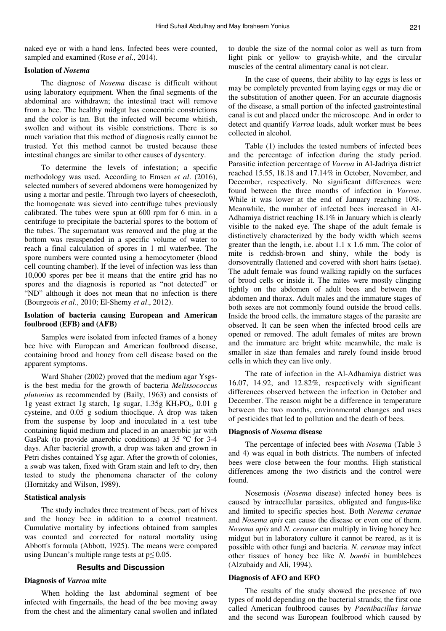naked eye or with a hand lens. Infected bees were counted, sampled and examined (Rose *et al*., 2014).

## **Isolation of** *Nosema*

The diagnose of *Nosema* disease is difficult without using laboratory equipment. When the final segments of the abdominal are withdrawn; the intestinal tract will remove from a bee. The healthy midgut has concentric constrictions and the color is tan. But the infected will become whitish, swollen and without its visible constrictions. There is so much variation that this method of diagnosis really cannot be trusted. Yet this method cannot be trusted because these intestinal changes are similar to other causes of dysentery.

To determine the levels of infestation; a specific methodology was used. According to Emsen *et al*. (2016), selected numbers of severed abdomens were homogenized by using a mortar and pestle. Through two layers of cheesecloth, the homogenate was sieved into centrifuge tubes previously calibrated. The tubes were spun at 600 rpm for 6 min. in a centrifuge to precipitate the bacterial spores to the bottom of the tubes. The supernatant was removed and the plug at the bottom was resuspended in a specific volume of water to reach a final calculation of spores in 1 ml water/bee. The spore numbers were counted using a hemocytometer (blood cell counting chamber). If the level of infection was less than 10,000 spores per bee it means that the entire grid has no spores and the diagnosis is reported as "not detected" or "ND" although it does not mean that no infection is there (Bourgeois *et al*., 2010; El-Shemy *et al*., 2012).

# **Isolation of bacteria causing European and American foulbrood (EFB) and (AFB)**

Samples were isolated from infected frames of a honey bee hive with European and American foulbrood disease, containing brood and honey from cell disease based on the apparent symptoms.

Ward Shaher (2002) proved that the medium agar Ysgsis the best media for the growth of bacteria *Melissococcus plutonius* as recommended by (Baily, 1963) and consists of 1g yeast extract 1g starch, 1g sugar,  $1.35g$  KH<sub>2</sub>PO<sub>4</sub>, 0.01 g cysteine, and 0.05 g sodium thioclique. A drop was taken from the suspense by loop and inoculated in a test tube containing liquid medium and placed in an anaerobic jar with GasPak (to provide anaerobic conditions) at 35 ºC for 3-4 days. After bacterial growth, a drop was taken and grown in Petri dishes contained Ysg agar. After the growth of colonies, a swab was taken, fixed with Gram stain and left to dry, then tested to study the phenomena character of the colony (Hornitzky and Wilson, 1989).

## **Statistical analysis**

The study includes three treatment of bees, part of hives and the honey bee in addition to a control treatment. Cumulative mortality by infections obtained from samples was counted and corrected for natural mortality using Abbott's formula (Abbott, 1925). The means were compared using Duncan's multiple range tests at  $p \le 0.05$ .

### **Results and Discussion**

### **Diagnosis of** *Varroa* **mite**

When holding the last abdominal segment of bee infected with fingernails, the head of the bee moving away from the chest and the alimentary canal swollen and inflated to double the size of the normal color as well as turn from light pink or yellow to grayish-white, and the circular muscles of the central alimentary canal is not clear.

In the case of queens, their ability to lay eggs is less or may be completely prevented from laying eggs or may die or the substitution of another queen. For an accurate diagnosis of the disease, a small portion of the infected gastrointestinal canal is cut and placed under the microscope. And in order to detect and quantify *Varroa* loads, adult worker must be bees collected in alcohol.

Table (1) includes the tested numbers of infected bees and the percentage of infection during the study period. Parasitic infection percentage of *Varroa* in Al-Jadriya district reached 15.55, 18.18 and 17.14% in October, November, and December, respectively. No significant differences were found between the three months of infection in *Varroa*. While it was lower at the end of January reaching 10%. Meanwhile, the number of infected bees increased in Al-Adhamiya district reaching 18.1% in January which is clearly visible to the naked eye. The shape of the adult female is distinctively characterized by the body width which seems greater than the length, i.e. about 1.1 x 1.6 mm. The color of mite is reddish-brown and shiny, while the body is dorsoventrally flattened and covered with short hairs (setae). The adult female was found walking rapidly on the surfaces of brood cells or inside it. The mites were mostly clinging tightly on the abdomen of adult bees and between the abdomen and thorax. Adult males and the immature stages of both sexes are not commonly found outside the brood cells. Inside the brood cells, the immature stages of the parasite are observed. It can be seen when the infected brood cells are opened or removed. The adult females of mites are brown and the immature are bright white meanwhile, the male is smaller in size than females and rarely found inside brood cells in which they can live only.

The rate of infection in the Al-Adhamiya district was 16.07, 14.92, and 12.82%, respectively with significant differences observed between the infection in October and December. The reason might be a difference in temperature between the two months, environmental changes and uses of pesticides that led to pollution and the death of bees.

## **Diagnosis of** *Nosema* **disease**

The percentage of infected bees with *Nosema* (Table 3 and 4) was equal in both districts. The numbers of infected bees were close between the four months. High statistical differences among the two districts and the control were found.

Nosemosis (*Nosema* disease) infected honey bees is caused by intracellular parasites, obligated and fungus-like and limited to specific species host. Both *Nosema ceranae* and *Nosema apis* can cause the disease or even one of them. *Nosema apis* and *N. ceranae* can multiply in living honey bee midgut but in laboratory culture it cannot be reared, as it is possible with other fungi and bacteria. *N. ceranae* may infect other tissues of honey bee like *N. bombi* in bumblebees (Alzubaidy and Ali, 1994).

#### **Diagnosis of AFO and EFO**

The results of the study showed the presence of two types of mold depending on the bacterial strands; the first one called American foulbrood causes by *Paenibacillus larvae* and the second was European foulbrood which caused by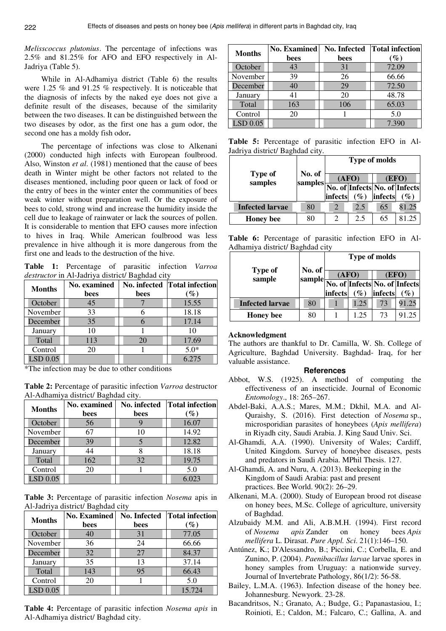*Melisscoccus plutonius*. The percentage of infections was 2.5% and 81.25% for AFO and EFO respectively in Al-Jadriya (Table 5).

While in Al-Adhamiya district (Table 6) the results were 1.25 % and 91.25 % respectively. It is noticeable that the diagnosis of infects by the naked eye does not give a definite result of the diseases, because of the similarity between the two diseases. It can be distinguished between the two diseases by odor, as the first one has a gum odor, the second one has a moldy fish odor.

The percentage of infections was close to Alkenani (2000) conducted high infects with European foulbrood. Also, Winston *et al*. (1981) mentioned that the cause of bees death in Winter might be other factors not related to the diseases mentioned, including poor queen or lack of food or the entry of bees in the winter enter the communities of bees weak winter without preparation well. Or the exposure of bees to cold, strong wind and increase the humidity inside the cell due to leakage of rainwater or lack the sources of pollen. It is considerable to mention that EFO causes more infection to hives in Iraq. While American foulbrood was less prevalence in hive although it is more dangerous from the first one and leads to the destruction of the hive.

**Table 1:** Percentage of parasitic infection *Varroa destructor* in Al-Jadriya district/ Baghdad city

| <b>Months</b> | <b>No.</b> examined |      | No. infected Total infection |
|---------------|---------------------|------|------------------------------|
|               | bees                | bees | $\%$                         |
| October       | 45                  |      | 15.55                        |
| November      | 33                  |      | 18.18                        |
| December      | 35                  |      | 17.14                        |
| January       | 10                  |      |                              |
| Total         | 113                 | 20   | 17.69                        |
| Control       | 20                  |      | $5.0*$                       |
| LSD 0.05      |                     |      | 6.275                        |

\*The infection may be due to other conditions

**Table 2:** Percentage of parasitic infection *Varroa* destructor Al-Adhamiya district/ Baghdad city.

| <b>Months</b> | No. infected<br><b>No.</b> examined<br>bees<br>bees |    | <b>Total infection</b><br>$(\%)$ |
|---------------|-----------------------------------------------------|----|----------------------------------|
|               |                                                     |    |                                  |
| October       | 56                                                  |    | 16.07                            |
| November      | 67                                                  | 10 | 14.92                            |
| December      | 39                                                  |    | 12.82                            |
| January       | 14                                                  |    | 18.18                            |
| Total         | 162                                                 | 32 | 19.75                            |
| Control       | 20                                                  |    | 5.0                              |
| $LSD$ 0.05    |                                                     |    | 6.023                            |

**Table 3:** Percentage of parasitic infection *Nosema* apis in Al-Jadriya district/ Baghdad city

| <b>Months</b> | <b>No. Examined</b> | No. Infected | <b>Total infection</b> |
|---------------|---------------------|--------------|------------------------|
|               | bees                | bees         | $\%$                   |
| October       | 40                  | 31           | 77.05                  |
| November      | 36                  | 24           | 66.66                  |
| December      | 32                  | 27           | 84.37                  |
| January       | 35                  | 13           | 37.14                  |
| Total         | 143                 | 95           | 66.43                  |
| Control       | 20                  |              | 5.0                    |
| $LSD$ $0.05$  |                     |              | 15.724                 |

**Table 4:** Percentage of parasitic infection *Nosema apis* in Al-Adhamiya district/ Baghdad city.

| <b>Months</b> | <b>No. Examined</b> | <b>No. Infected</b> | <b>Total infection</b> |
|---------------|---------------------|---------------------|------------------------|
|               | bees                | bees                | $\mathscr{G}_o$        |
| October       | 43                  | 31                  | 72.09                  |
| November      | 39                  | 26                  | 66.66                  |
| December      | 40                  | 29                  | 72.50                  |
| January       | 41                  | 20                  | 48.78                  |
| Total         | 163                 | 106                 | 65.03                  |
| Control       | 20                  |                     | 5.0                    |
| LSD 0.05      |                     |                     | 7.390                  |

**Table 5:** Percentage of parasitic infection EFO in Al-Jadriya district/ Baghdad city.

|                           |                   | <b>Type of molds</b>          |        |         |       |  |
|---------------------------|-------------------|-------------------------------|--------|---------|-------|--|
| <b>Type of</b><br>samples | No. of<br>samples |                               | (AFO)  |         | (EFO) |  |
|                           |                   | No. of Infects No. of Infects |        |         |       |  |
|                           |                   | infects                       | $(\%)$ | infects | $\%$  |  |
| <b>Infected larvae</b>    | 80                |                               | 2.5    | 65      | 81.25 |  |
| <b>Honey</b> bee          | 80                | 2                             | 2.5    | 65      | 81.25 |  |

**Table 6:** Percentage of parasitic infection EFO in Al-Adhamiya district/ Baghdad city

|                          |                  | <b>Type of molds</b> |        |         |                               |  |
|--------------------------|------------------|----------------------|--------|---------|-------------------------------|--|
| <b>Type of</b><br>sample | No. of<br>sample |                      | (AFO)  |         | (EFO)                         |  |
|                          |                  |                      |        |         | No. of Infects No. of Infects |  |
|                          |                  | infects              | $(\%)$ | infects | $\%$                          |  |
| <b>Infected larvae</b>   | 80               |                      | 1.25   | 73      | 91.25                         |  |
| <b>Honey</b> bee         | 80               |                      | 1.25   | 73      | 91.25                         |  |

## **Acknowledgment**

The authors are thankful to Dr. Camilla, W. Sh. College of Agriculture, Baghdad University. Baghdad- Iraq, for her valuable assistance.

#### **References**

- Abbot, W.S. (1925). A method of computing the effectiveness of an insecticide. Journal of Economic *Entomology*., 18: 265–267.
- Abdel-Baki, A.A.S.; Mares, M.M.; Dkhil, M.A. and Al-Quraishy, S. (2016). First detection of *Nosema* sp., microsporidian parasites of honeybees (*Apis mellifera*) in Riyadh city, Saudi Arabia. J. King Saud Univ. Sci.
- Al-Ghamdi, A.A. (1990). University of Wales; Cardiff, United Kingdom. Survey of honeybee diseases, pests and predators in Saudi Arabia. MPhil Thesis. 127.
- Al-Ghamdi, A. and Nuru, A. (2013). Beekeeping in the Kingdom of Saudi Arabia: past and present practices. Bee World. 90(2): 26–29.
- Alkenani, M.A. (2000). Study of European brood rot disease on honey bees, M.Sc. College of agriculture, university of Baghdad.
- Alzubaidy M.M. and Ali, A.B.M.H. (1994). First record of *Nosema apis* Zander on honey bees *Apis mellifera* L. Dirasat. *Pure Appl. Sci*. 21(1):146–150.
- Antúnez, K.; D'Alessandro, B.; Piccini, C.; Corbella, E. and Zunino, P. (2004). *Paenibacillus larvae* larvae spores in honey samples from Uruguay: a nationwide survey. Journal of Invertebrate Pathology, 86(1/2): 56-58.
- Bailey, L.M.A. (1963). Infection disease of the honey bee. Johannesburg. Newyork. 23-28.
- Bacandritsos, N.; Granato, A.; Budge, G.; Papanastasiou, I.; Roinioti, E.; Caldon, M.; Falcaro, C.; Gallina, A. and